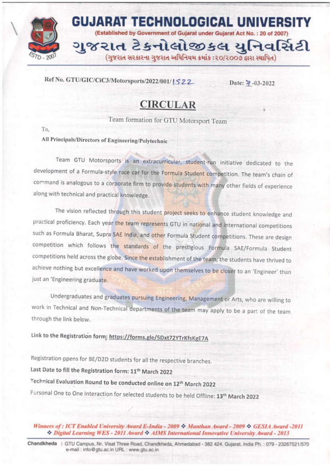

## Ref No. GTU/GIC/CiC3/Motorsports/2022/001/1522

Date:  $\frac{1}{4} - 03 - 2022$ 

## **CIRCULAR**

Team formation for GTU Motorsport Team

To.

All Principals/Directors of Engineering/Polytechnic

Team GTU Motorsports is an extracurricular, student-run initiative dedicated to the development of a Formula-style race car for the Formula Student competition. The team's chain of command is analogous to a corporate firm to provide students with many other fields of experience along with technical and practical knowledge.

The vision reflected through this student project seeks to enhance student knowledge and practical proficiency. Each year the team represents GTU in national and international competitions such as Formula Bharat, Supra SAE India, and other Formula Student competitions. These are design competition which follows the standards of the prestigious Formula SAE/Formula Student competitions held across the globe. Since the establishment of the team, the students have thrived to achieve nothing but excellence and have worked upon themselves to be closer to an 'Engineer' than just an 'Engineering graduate.

Undergraduates and graduates pursuing Engineering, Management or Arts, who are willing to work in Technical and Non-Technical departments of the team may apply to be a part of the team through the link below.

Link to the Registration form: https://forms.gle/5Dxt72YTrKfsKgE7A

Registration opens for BE/D2D students for all the respective branches. Last Date to fill the Registration form: 11<sup>th</sup> March 2022 Technical Evaluation Round to be conducted online on 12th March 2022 Personal One to One Interaction for selected students to be held Offline: 13<sup>th</sup> March 2022

Winners of: ICT Enabled University Award E-India - 2009  $\sim$  Manthan Award - 2009  $\sim$  GESIA Award -2011 Digital Learning WES - 2011 Award & AIMS International Innovative University Award - 2013

Chandkheda : GTU Campus, Nr. Visat Three Road, Chandkheda, Ahmedabad - 382 424. Gujarat, India Ph.: 079 - 23267521/570 e-mail : info@gtu.ac.in URL : www.gtu.ac.in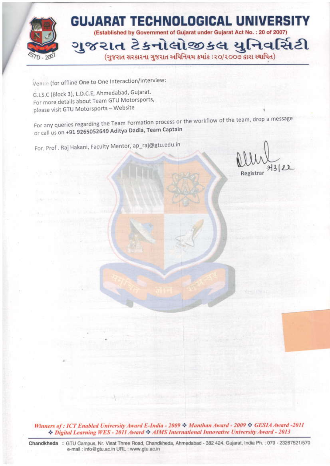

Venue (for offline One to One Interaction/Interview:

G.I.S.C (Block 3), L.D.C.E, Ahmedabad, Gujarat. For more details about Team GTU Motorsports, please visit GTU Motorsports - Website

For any queries regarding the Team Formation process or the workflow of the team, drop a message or call us on +91 9265052649 Aditya Dadia, Team Captain

For, Prof. Raj Hakani, Faculty Mentor, ap\_raj@gtu.edu.in

 $712122$ 

Winners of: ICT Enabled University Award E-India - 2009 \* Manthan Award - 2009 \* GESIA Award - 2011 Digital Learning WES - 2011 Award & AIMS International Innovative University Award - 2013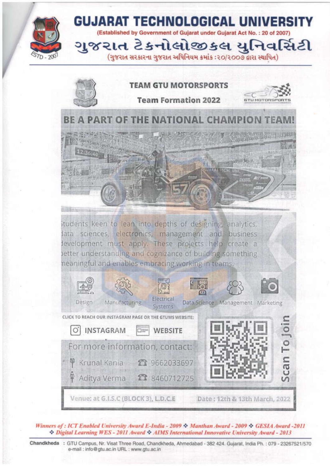

Winners of: ICT Enabled University Award E-India - 2009 & Manthan Award - 2009 & GESIA Award -2011 Digital Learning WES - 2011 Award & AIMS International Innovative University Award - 2013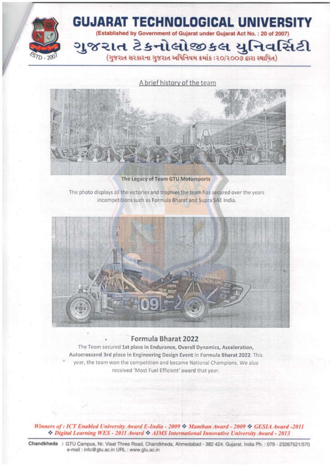

A brief history of the team



The Legacy of Team GTU Motorsports

The photo displays all the victories and trophies the team has secured over the years incompetitions such as Formula Bharat and Supra SAE India.



## Formula Bharat 2022

The Team secured 1st place in Endurance, Overall Dynamics, Acceleration, Autocrossand 3rd place in Engineering Design Event in Formula Bharat 2022. This year, the team won the competition and became National Champions. We also received 'Most Fuel Efficient' award that year.

Winners of: ICT Enabled University Award E-India - 2009 & Manthan Award - 2009 & GESIA Award -2011 <sup>2</sup> Digital Learning WES - 2011 Award <sup>2</sup> AIMS International Innovative University Award - 2013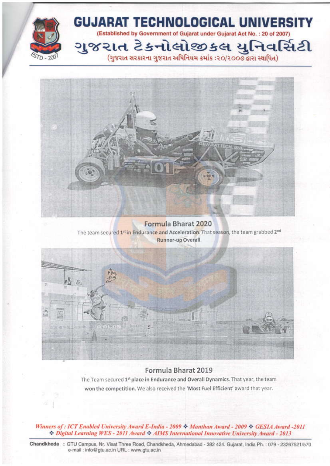



Formula Bharat 2020 The team secured 1<sup>st</sup> in Endurance and Acceleration. That season, the team grabbed 2<sup>nd</sup> Runner-up Overall.



## Formula Bharat 2019

The Team secured 1st place in Endurance and Overall Dynamics. That year, the team won the competition. We also received the 'Most Fuel Efficient' award that year.

Winners of: ICT Enabled University Award E-India - 2009 \* Manthan Award - 2009 \* GESIA Award -2011 Digital Learning WES - 2011 Award & AIMS International Innovative University Award - 2013